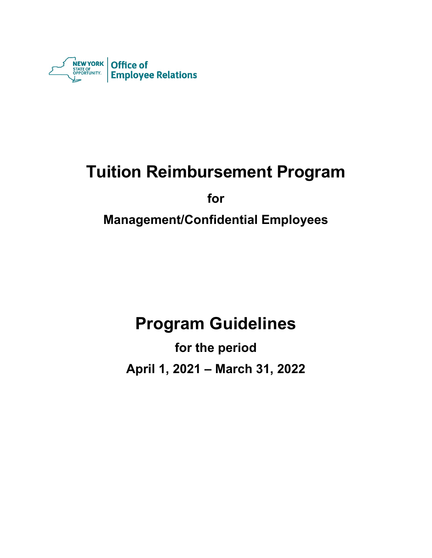

# **Tuition Reimbursement Program**

**for**

**Management/Confidential Employees**

## **Program Guidelines**

**for the period April 1, 2021 – March 31, 2022**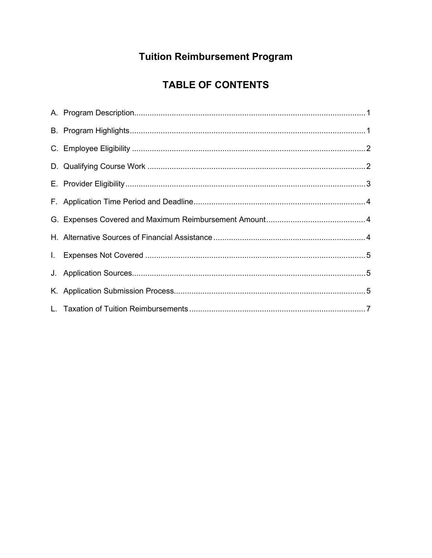### **Tuition Reimbursement Program**

### **TABLE OF CONTENTS**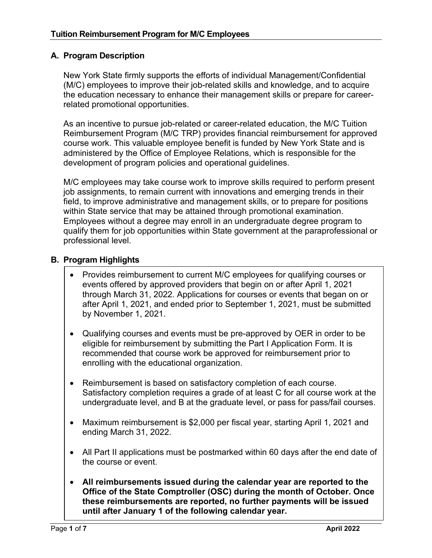#### **A. Program Description**

New York State firmly supports the efforts of individual Management/Confidential (M/C) employees to improve their job-related skills and knowledge, and to acquire the education necessary to enhance their management skills or prepare for careerrelated promotional opportunities.

As an incentive to pursue job-related or career-related education, the M/C Tuition Reimbursement Program (M/C TRP) provides financial reimbursement for approved course work. This valuable employee benefit is funded by New York State and is administered by the Office of Employee Relations, which is responsible for the development of program policies and operational guidelines.

M/C employees may take course work to improve skills required to perform present job assignments, to remain current with innovations and emerging trends in their field, to improve administrative and management skills, or to prepare for positions within State service that may be attained through promotional examination. Employees without a degree may enroll in an undergraduate degree program to qualify them for job opportunities within State government at the paraprofessional or professional level.

#### **B. Program Highlights**

- Provides reimbursement to current M/C employees for qualifying courses or events offered by approved providers that begin on or after April 1, 2021 through March 31, 2022. Applications for courses or events that began on or after April 1, 2021, and ended prior to September 1, 2021, must be submitted by November 1, 2021.
- Qualifying courses and events must be pre-approved by OER in order to be eligible for reimbursement by submitting the Part I Application Form. It is recommended that course work be approved for reimbursement prior to enrolling with the educational organization.
- Reimbursement is based on satisfactory completion of each course. Satisfactory completion requires a grade of at least C for all course work at the undergraduate level, and B at the graduate level, or pass for pass/fail courses.
- Maximum reimbursement is \$2,000 per fiscal year, starting April 1, 2021 and ending March 31, 2022.
- All Part II applications must be postmarked within 60 days after the end date of the course or event.
- **All reimbursements issued during the calendar year are reported to the Office of the State Comptroller (OSC) during the month of October. Once these reimbursements are reported, no further payments will be issued until after January 1 of the following calendar year.**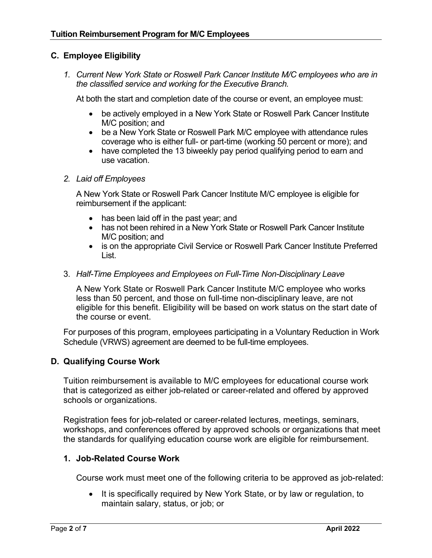#### **C. Employee Eligibility**

*1. Current New York State or Roswell Park Cancer Institute M/C employees who are in the classified service and working for the Executive Branch.* 

At both the start and completion date of the course or event, an employee must:

- be actively employed in a New York State or Roswell Park Cancer Institute M/C position; and
- be a New York State or Roswell Park M/C employee with attendance rules coverage who is either full- or part-time (working 50 percent or more); and
- have completed the 13 biweekly pay period qualifying period to earn and use vacation.

#### *2. Laid off Employees*

A New York State or Roswell Park Cancer Institute M/C employee is eligible for reimbursement if the applicant:

- has been laid off in the past year; and
- has not been rehired in a New York State or Roswell Park Cancer Institute M/C position; and
- is on the appropriate Civil Service or Roswell Park Cancer Institute Preferred List.

#### 3. *Half-Time Employees and Employees on Full-Time Non-Disciplinary Leave*

A New York State or Roswell Park Cancer Institute M/C employee who works less than 50 percent, and those on full-time non-disciplinary leave, are not eligible for this benefit. Eligibility will be based on work status on the start date of the course or event.

For purposes of this program, employees participating in a Voluntary Reduction in Work Schedule (VRWS) agreement are deemed to be full-time employees.

#### **D. Qualifying Course Work**

Tuition reimbursement is available to M/C employees for educational course work that is categorized as either job-related or career-related and offered by approved schools or organizations.

Registration fees for job-related or career-related lectures, meetings, seminars, workshops, and conferences offered by approved schools or organizations that meet the standards for qualifying education course work are eligible for reimbursement.

#### **1. Job-Related Course Work**

Course work must meet one of the following criteria to be approved as job-related:

• It is specifically required by New York State, or by law or regulation, to maintain salary, status, or job; or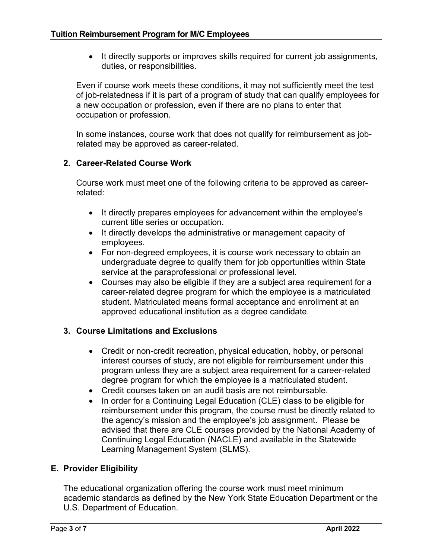• It directly supports or improves skills required for current job assignments, duties, or responsibilities.

Even if course work meets these conditions, it may not sufficiently meet the test of job-relatedness if it is part of a program of study that can qualify employees for a new occupation or profession, even if there are no plans to enter that occupation or profession.

In some instances, course work that does not qualify for reimbursement as jobrelated may be approved as career-related.

#### **2. Career-Related Course Work**

Course work must meet one of the following criteria to be approved as careerrelated:

- It directly prepares employees for advancement within the employee's current title series or occupation.
- It directly develops the administrative or management capacity of employees.
- For non-degreed employees, it is course work necessary to obtain an undergraduate degree to qualify them for job opportunities within State service at the paraprofessional or professional level.
- Courses may also be eligible if they are a subject area requirement for a career-related degree program for which the employee is a matriculated student. Matriculated means formal acceptance and enrollment at an approved educational institution as a degree candidate.

#### **3. Course Limitations and Exclusions**

- Credit or non-credit recreation, physical education, hobby, or personal interest courses of study, are not eligible for reimbursement under this program unless they are a subject area requirement for a career-related degree program for which the employee is a matriculated student.
- Credit courses taken on an audit basis are not reimbursable.
- In order for a Continuing Legal Education (CLE) class to be eligible for reimbursement under this program, the course must be directly related to the agency's mission and the employee's job assignment. Please be advised that there are CLE courses provided by the National Academy of Continuing Legal Education (NACLE) and available in the Statewide Learning Management System (SLMS).

#### **E. Provider Eligibility**

The educational organization offering the course work must meet minimum academic standards as defined by the New York State Education Department or the U.S. Department of Education.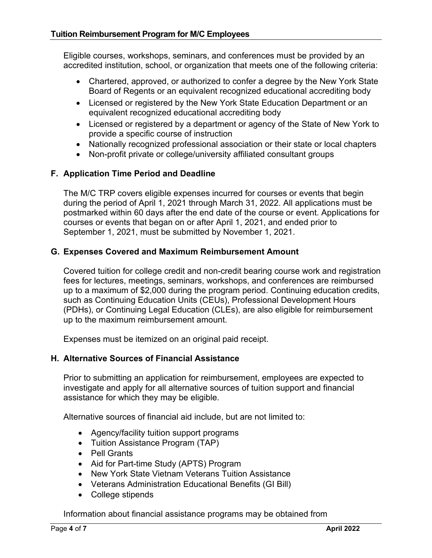Eligible courses, workshops, seminars, and conferences must be provided by an accredited institution, school, or organization that meets one of the following criteria:

- Chartered, approved, or authorized to confer a degree by the New York State Board of Regents or an equivalent recognized educational accrediting body
- Licensed or registered by the New York State Education Department or an equivalent recognized educational accrediting body
- Licensed or registered by a department or agency of the State of New York to provide a specific course of instruction
- Nationally recognized professional association or their state or local chapters
- Non-profit private or college/university affiliated consultant groups

#### **F. Application Time Period and Deadline**

The M/C TRP covers eligible expenses incurred for courses or events that begin during the period of April 1, 2021 through March 31, 2022. All applications must be postmarked within 60 days after the end date of the course or event. Applications for courses or events that began on or after April 1, 2021, and ended prior to September 1, 2021, must be submitted by November 1, 2021.

#### **G. Expenses Covered and Maximum Reimbursement Amount**

Covered tuition for college credit and non-credit bearing course work and registration fees for lectures, meetings, seminars, workshops, and conferences are reimbursed up to a maximum of \$2,000 during the program period. Continuing education credits, such as Continuing Education Units (CEUs), Professional Development Hours (PDHs), or Continuing Legal Education (CLEs), are also eligible for reimbursement up to the maximum reimbursement amount.

Expenses must be itemized on an original paid receipt.

#### **H. Alternative Sources of Financial Assistance**

Prior to submitting an application for reimbursement, employees are expected to investigate and apply for all alternative sources of tuition support and financial assistance for which they may be eligible.

Alternative sources of financial aid include, but are not limited to:

- Agency/facility tuition support programs
- Tuition Assistance Program (TAP)
- Pell Grants
- Aid for Part-time Study (APTS) Program
- New York State Vietnam Veterans Tuition Assistance
- Veterans Administration Educational Benefits (GI Bill)
- College stipends

Information about financial assistance programs may be obtained from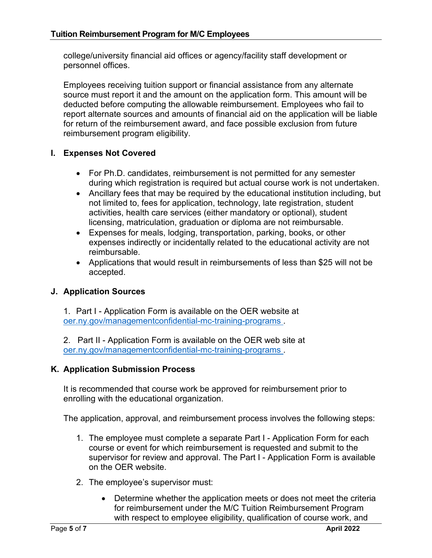college/university financial aid offices or agency/facility staff development or personnel offices.

Employees receiving tuition support or financial assistance from any alternate source must report it and the amount on the application form. This amount will be deducted before computing the allowable reimbursement. Employees who fail to report alternate sources and amounts of financial aid on the application will be liable for return of the reimbursement award, and face possible exclusion from future reimbursement program eligibility.

#### **I. Expenses Not Covered**

- For Ph.D. candidates, reimbursement is not permitted for any semester during which registration is required but actual course work is not undertaken.
- Ancillary fees that may be required by the educational institution including, but not limited to, fees for application, technology, late registration, student activities, health care services (either mandatory or optional), student licensing, matriculation, graduation or diploma are not reimbursable.
- Expenses for meals, lodging, transportation, parking, books, or other expenses indirectly or incidentally related to the educational activity are not reimbursable.
- Applications that would result in reimbursements of less than \$25 will not be accepted.

#### **J. Application Sources**

1. Part I - Application Form is available on the OER website at oer.ny.gov/managementconfidential-mc-training-programs .

2. Part II - Application Form is available on the OER web site at oer.ny.gov/managementconfidential-mc-training-programs .

#### **K. Application Submission Process**

It is recommended that course work be approved for reimbursement prior to enrolling with the educational organization.

The application, approval, and reimbursement process involves the following steps:

- 1. The employee must complete a separate Part I Application Form for each course or event for which reimbursement is requested and submit to the supervisor for review and approval. The Part I - Application [Form i](http://dev/goer/Training_Development/Management_Confidential/mc009_2011_2012.pdf)s available on the OER website.
- 2. The employee's supervisor must:
	- Determine whether the application meets or does not meet the criteria for reimbursement under the M/C Tuition Reimbursement Program with respect to employee eligibility, qualification of course work, and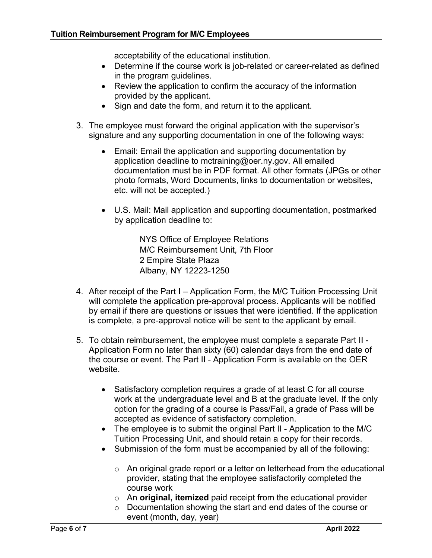acceptability of the educational institution.

- Determine if the course work is job-related or career-related as defined in the program guidelines.
- Review the application to confirm the accuracy of the information provided by the applicant.
- Sign and date the form, and return it to the applicant.
- 3. The employee must forward the original application with the supervisor's signature and any supporting documentation in one of the following ways:
	- Email: Email the application and supporting documentation by application deadline to mctraining@oer.ny.gov. All emailed documentation must be in PDF format. All other formats (JPGs or other photo formats, Word Documents, links to documentation or websites, etc. will not be accepted.)
	- U.S. Mail: Mail application and supporting documentation, postmarked by application deadline to:

NYS Office of Employee Relations M/C Reimbursement Unit, 7th Floor 2 Empire State Plaza Albany, NY 12223-1250

- 4. After receipt of the Part I Application Form, the M/C Tuition Processing Unit will complete the application pre-approval process. Applicants will be notified by email if there are questions or issues that were identified. If the application is complete, a pre-approval notice will be sent to the applicant by email.
- 5. To obtain reimbursement, the employee must complete a separate Part II Application Form no later than sixty (60) calendar days from the end date of the course or event. The Part II - Application Form is available on the OER website.
	- Satisfactory completion requires a grade of at least C for all course work at the undergraduate level and B at the graduate level. If the only option for the grading of a course is Pass/Fail, a grade of Pass will be accepted as evidence of satisfactory completion.
	- The employee is to submit the original Part II Application to the M/C Tuition Processing Unit, and should retain a copy for their records.
	- Submission of the form must be accompanied by all of the following:
		- $\circ$  An original grade report or a letter on letterhead from the educational provider, stating that the employee satisfactorily completed the course work
		- o An **original, itemized** paid receipt from the educational provider
		- o Documentation showing the start and end dates of the course or event (month, day, year)